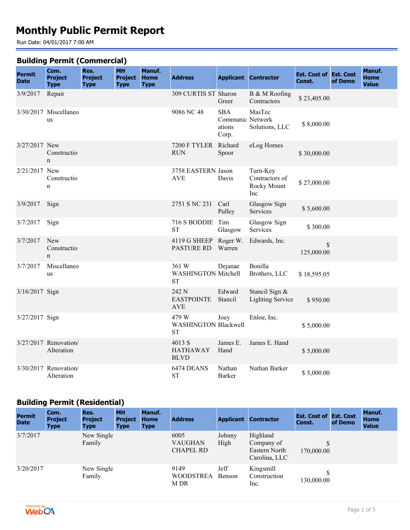# **Monthly Public Permit Report**

Run Date: 04/01/2017 7:00 AM

#### **Building Permit (Commercial)**

|                              |                                       |                                       | -- ,                                       |                                      |                                                   |                                                   |                                                  |                                         |         |                                       |
|------------------------------|---------------------------------------|---------------------------------------|--------------------------------------------|--------------------------------------|---------------------------------------------------|---------------------------------------------------|--------------------------------------------------|-----------------------------------------|---------|---------------------------------------|
| <b>Permit</b><br><b>Date</b> | Com.<br><b>Project</b><br><b>Type</b> | Res.<br><b>Project</b><br><b>Type</b> | <b>MH</b><br><b>Project</b><br><b>Type</b> | Manuf.<br><b>Home</b><br><b>Type</b> | <b>Address</b>                                    |                                                   | <b>Applicant Contractor</b>                      | <b>Est. Cost of Est. Cost</b><br>Const. | of Demo | Manuf.<br><b>Home</b><br><b>Value</b> |
| 3/9/2017                     | Repair                                |                                       |                                            |                                      | 309 CURTIS ST Sharon                              | Greer                                             | B & M Roofing<br>Contractors                     | \$23,405.00                             |         |                                       |
|                              | 3/30/2017 Miscellaneo<br>us           |                                       |                                            |                                      | 9086 NC 48                                        | <b>SBA</b><br>Communic Network<br>ations<br>Corp. | MasTec<br>Solutions, LLC                         | \$8,000.00                              |         |                                       |
| 3/27/2017 New                | Constructio<br>$\mathbf n$            |                                       |                                            |                                      | 7200 F TYLER<br><b>RUN</b>                        | Richard<br>Spoor                                  | eLog Homes                                       | \$30,000.00                             |         |                                       |
| 2/21/2017 New                | Constructio<br>$\mathbf n$            |                                       |                                            |                                      | 3758 EASTERN Jason<br><b>AVE</b>                  | Davis                                             | Turn-Key<br>Contractors of<br>Rocky Mount<br>Inc | \$27,000.00                             |         |                                       |
| 3/9/2017                     | Sign                                  |                                       |                                            |                                      | 2751 S NC 231                                     | Carl<br>Pulley                                    | Glasgow Sign<br>Services                         | \$5,600.00                              |         |                                       |
| 3/7/2017                     | Sign                                  |                                       |                                            |                                      | 716 S BODDIE<br><b>ST</b>                         | Tim<br>Glasgow                                    | Glasgow Sign<br>Services                         | \$300.00                                |         |                                       |
| 3/7/2017                     | New<br>Constructio<br>$\mathbf n$     |                                       |                                            |                                      | 4119 G SHEEP Roger W.<br><b>PASTURE RD</b>        | Warren                                            | Edwards, Inc.                                    | $\mathcal{S}$<br>125,000.00             |         |                                       |
| 3/7/2017                     | Miscellaneo<br>us                     |                                       |                                            |                                      | 361 W<br><b>WASHINGTON Mitchell</b><br><b>ST</b>  | Dejanae                                           | Bonilla<br>Brothers, LLC                         | \$18,595.05                             |         |                                       |
| 3/16/2017 Sign               |                                       |                                       |                                            |                                      | 242 N<br><b>EASTPOINTE</b><br><b>AVE</b>          | Edward<br>Stancil                                 | Stancil Sign &<br><b>Lighting Service</b>        | \$950.00                                |         |                                       |
| 3/27/2017 Sign               |                                       |                                       |                                            |                                      | 479 W<br><b>WASHINGTON Blackwell</b><br><b>ST</b> | Joey                                              | Enloe, Inc.                                      | \$5,000.00                              |         |                                       |
|                              | 3/27/2017 Renovation/<br>Alteration   |                                       |                                            |                                      | 4013 S<br><b>HATHAWAY</b><br><b>BLVD</b>          | James E.<br>Hand                                  | James E. Hand                                    | \$5,000.00                              |         |                                       |
|                              | 3/30/2017 Renovation/<br>Alteration   |                                       |                                            |                                      | 6474 DEANS<br><b>ST</b>                           | Nathan<br><b>Barker</b>                           | Nathan Barker                                    | \$5,000.00                              |         |                                       |

#### **Building Permit (Residential)**

| <b>Permit</b><br><b>Date</b> | Com.<br><b>Project</b><br><b>Type</b> | Res.<br><b>Project</b><br><b>Type</b> | <b>MH</b><br><b>Project</b><br><b>Type</b> | Manuf.<br><b>Home</b><br><b>Type</b> | <b>Address</b>                             |                | <b>Applicant Contractor</b>                              | <b>Est. Cost of Est. Cost</b><br>Const. | of Demo | Manuf.<br><b>Home</b><br><b>Value</b> |
|------------------------------|---------------------------------------|---------------------------------------|--------------------------------------------|--------------------------------------|--------------------------------------------|----------------|----------------------------------------------------------|-----------------------------------------|---------|---------------------------------------|
| 3/7/2017                     |                                       | New Single<br>Family                  |                                            |                                      | 6005<br><b>VAUGHAN</b><br><b>CHAPEL RD</b> | Johnny<br>High | Highland<br>Company of<br>Eastern North<br>Carolina, LLC | 170,000.00                              |         |                                       |
| 3/20/2017                    |                                       | New Single<br>Family                  |                                            |                                      | 9149<br><b>WOODSTREA</b><br>M DR           | Jeff<br>Benson | Kingsmill<br>Construction<br>Inc.                        | 130,000.00                              |         |                                       |

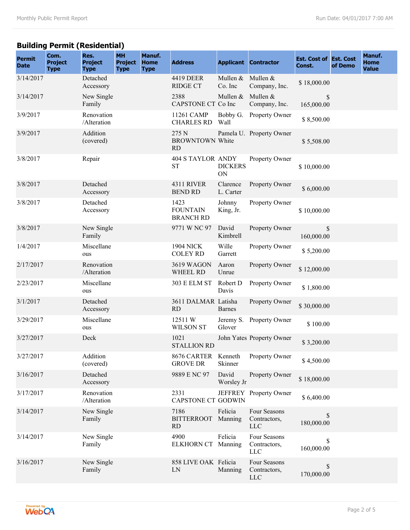# **Building Permit (Residential)**

| <b>Permit</b><br><b>Date</b> | Com.<br><b>Project</b><br><b>Type</b> | Res.<br><b>Project</b><br><b>Type</b> | <b>MH</b><br><b>Project</b><br><b>Type</b> | Manuf.<br><b>Home</b><br><b>Type</b> | <b>Address</b>                               |                              | <b>Applicant Contractor</b>                | <b>Est. Cost of Est. Cost</b><br>Const. | of Demo | Manuf.<br><b>Home</b><br><b>Value</b> |
|------------------------------|---------------------------------------|---------------------------------------|--------------------------------------------|--------------------------------------|----------------------------------------------|------------------------------|--------------------------------------------|-----------------------------------------|---------|---------------------------------------|
| 3/14/2017                    |                                       | Detached<br>Accessory                 |                                            |                                      | 4419 DEER<br><b>RIDGE CT</b>                 | Mullen & Mullen &<br>Co. Inc | Company, Inc.                              | \$18,000.00                             |         |                                       |
| 3/14/2017                    |                                       | New Single<br>Family                  |                                            |                                      | 2388<br>CAPSTONE CT Co Inc                   | Mullen $&$                   | Mullen &<br>Company, Inc.                  | S<br>165,000.00                         |         |                                       |
| 3/9/2017                     |                                       | Renovation<br>/Alteration             |                                            |                                      | 11261 CAMP<br><b>CHARLES RD</b>              | Wall                         | Bobby G. Property Owner                    | \$8,500.00                              |         |                                       |
| 3/9/2017                     |                                       | Addition<br>(covered)                 |                                            |                                      | 275 N<br><b>BROWNTOWN White</b><br><b>RD</b> |                              | Pamela U. Property Owner                   | \$5,508.00                              |         |                                       |
| 3/8/2017                     |                                       | Repair                                |                                            |                                      | <b>404 S TAYLOR ANDY</b><br><b>ST</b>        | <b>DICKERS</b><br>ON         | Property Owner                             | \$10,000.00                             |         |                                       |
| 3/8/2017                     |                                       | Detached<br>Accessory                 |                                            |                                      | <b>4311 RIVER</b><br><b>BEND RD</b>          | Clarence<br>L. Carter        | Property Owner                             | \$6,000.00                              |         |                                       |
| 3/8/2017                     |                                       | Detached<br>Accessory                 |                                            |                                      | 1423<br><b>FOUNTAIN</b><br><b>BRANCH RD</b>  | Johnny<br>King, Jr.          | Property Owner                             | \$10,000.00                             |         |                                       |
| 3/8/2017                     |                                       | New Single<br>Family                  |                                            |                                      | 9771 W NC 97                                 | David<br>Kimbrell            | Property Owner                             | \$<br>160,000.00                        |         |                                       |
| 1/4/2017                     |                                       | Miscellane<br>ous                     |                                            |                                      | <b>1904 NICK</b><br><b>COLEY RD</b>          | Wille<br>Garrett             | Property Owner                             | \$5,200.00                              |         |                                       |
| 2/17/2017                    |                                       | Renovation<br>/Alteration             |                                            |                                      | 3619 WAGON<br><b>WHEEL RD</b>                | Aaron<br>Unrue               | Property Owner                             | \$12,000.00                             |         |                                       |
| 2/23/2017                    |                                       | Miscellane<br>ous                     |                                            |                                      | <b>303 E ELM ST</b>                          | Robert D<br>Davis            | Property Owner                             | \$1,800.00                              |         |                                       |
| 3/1/2017                     |                                       | Detached<br>Accessory                 |                                            |                                      | 3611 DALMAR Latisha<br><b>RD</b>             | <b>Barnes</b>                | Property Owner                             | \$30,000.00                             |         |                                       |
| 3/29/2017                    |                                       | Miscellane<br>ous                     |                                            |                                      | 12511W<br><b>WILSON ST</b>                   | Glover                       | Jeremy S. Property Owner                   | \$100.00                                |         |                                       |
| 3/27/2017                    |                                       | Deck                                  |                                            |                                      | 1021<br><b>STALLION RD</b>                   |                              | John Yates Property Owner                  | \$3,200.00                              |         |                                       |
| 3/27/2017                    |                                       | Addition<br>(covered)                 |                                            |                                      | 8676 CARTER Kenneth<br><b>GROVE DR</b>       | Skinner                      | Property Owner                             | \$4,500.00                              |         |                                       |
| 3/16/2017                    |                                       | Detached<br>Accessory                 |                                            |                                      | 9889 E NC 97                                 | David<br>Worsley Jr          | Property Owner                             | \$18,000.00                             |         |                                       |
| 3/17/2017                    |                                       | Renovation<br>/Alteration             |                                            |                                      | 2331<br><b>CAPSTONE CT GODWIN</b>            |                              | JEFFREY Property Owner                     | \$6,400.00                              |         |                                       |
| 3/14/2017                    |                                       | New Single<br>Family                  |                                            |                                      | 7186<br><b>BITTERROOT</b><br><b>RD</b>       | Felicia<br>Manning           | Four Seasons<br>Contractors,<br><b>LLC</b> | $\mathbb{S}$<br>180,000.00              |         |                                       |
| 3/14/2017                    |                                       | New Single<br>Family                  |                                            |                                      | 4900<br><b>ELKHORN CT</b>                    | Felicia<br>Manning           | Four Seasons<br>Contractors,<br><b>LLC</b> | \$<br>160,000.00                        |         |                                       |
| 3/16/2017                    |                                       | New Single<br>Family                  |                                            |                                      | 858 LIVE OAK Felicia<br>LN                   | Manning                      | Four Seasons<br>Contractors,<br>LLC        | \$<br>170,000.00                        |         |                                       |

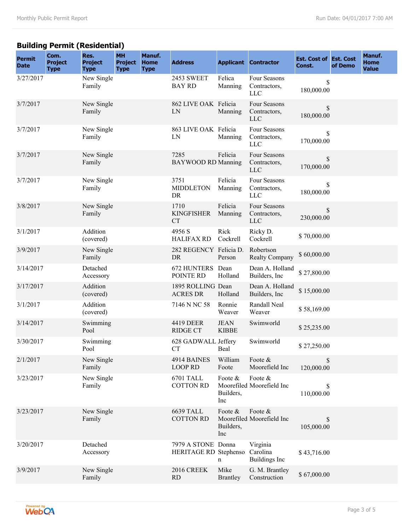# **Building Permit (Residential)**

| <b>Permit</b><br><b>Date</b> | Com.<br><b>Project</b><br><b>Type</b> | Res.<br><b>Project</b><br><b>Type</b> | <b>MH</b><br><b>Project</b><br><b>Type</b> | Manuf.<br><b>Home</b><br><b>Type</b> | <b>Address</b>                              |                             | <b>Applicant Contractor</b>                | <b>Est. Cost of Est. Cost</b><br>Const. | of Demo | Manuf.<br><b>Home</b><br><b>Value</b> |
|------------------------------|---------------------------------------|---------------------------------------|--------------------------------------------|--------------------------------------|---------------------------------------------|-----------------------------|--------------------------------------------|-----------------------------------------|---------|---------------------------------------|
| 3/27/2017                    |                                       | New Single<br>Family                  |                                            |                                      | <b>2453 SWEET</b><br><b>BAY RD</b>          | Felica<br>Manning           | Four Seasons<br>Contractors,<br><b>LLC</b> | \$<br>180,000.00                        |         |                                       |
| 3/7/2017                     |                                       | New Single<br>Family                  |                                            |                                      | 862 LIVE OAK Felicia<br>LN                  | Manning                     | Four Seasons<br>Contractors,<br><b>LLC</b> | \$<br>180,000.00                        |         |                                       |
| 3/7/2017                     |                                       | New Single<br>Family                  |                                            |                                      | 863 LIVE OAK Felicia<br>LN                  | Manning                     | Four Seasons<br>Contractors,<br><b>LLC</b> | \$<br>170,000.00                        |         |                                       |
| 3/7/2017                     |                                       | New Single<br>Family                  |                                            |                                      | 7285<br><b>BAYWOOD RD Manning</b>           | Felicia                     | Four Seasons<br>Contractors,<br><b>LLC</b> | \$<br>170,000.00                        |         |                                       |
| 3/7/2017                     |                                       | New Single<br>Family                  |                                            |                                      | 3751<br><b>MIDDLETON</b><br>DR              | Felicia<br>Manning          | Four Seasons<br>Contractors,<br><b>LLC</b> | \$<br>180,000.00                        |         |                                       |
| 3/8/2017                     |                                       | New Single<br>Family                  |                                            |                                      | 1710<br><b>KINGFISHER</b><br><b>CT</b>      | Felicia<br>Manning          | Four Seasons<br>Contractors,<br><b>LLC</b> | \$<br>230,000.00                        |         |                                       |
| 3/1/2017                     |                                       | Addition<br>(covered)                 |                                            |                                      | 4956 S<br><b>HALIFAX RD</b>                 | Rick<br>Cockrell            | Ricky D.<br>Cockrell                       | \$70,000.00                             |         |                                       |
| 3/9/2017                     |                                       | New Single<br>Family                  |                                            |                                      | 282 REGENCY Felicia D.<br>DR                | Person                      | Robertson<br><b>Realty Company</b>         | \$60,000.00                             |         |                                       |
| 3/14/2017                    |                                       | Detached<br>Accessory                 |                                            |                                      | 672 HUNTERS Dean<br>POINTE RD               | Holland                     | Dean A. Holland<br>Builders, Inc.          | \$27,800.00                             |         |                                       |
| 3/17/2017                    |                                       | Addition<br>(covered)                 |                                            |                                      | 1895 ROLLING Dean<br><b>ACRES DR</b>        | Holland                     | Dean A. Holland<br>Builders, Inc           | \$15,000.00                             |         |                                       |
| 3/1/2017                     |                                       | Addition<br>(covered)                 |                                            |                                      | 7146 N NC 58                                | Ronnie<br>Weaver            | Randall Neal<br>Weaver                     | \$58,169.00                             |         |                                       |
| 3/14/2017                    |                                       | Swimming<br>Pool                      |                                            |                                      | 4419 DEER<br><b>RIDGE CT</b>                | <b>JEAN</b><br><b>KIBBE</b> | Swimworld                                  | \$25,235.00                             |         |                                       |
| 3/30/2017                    |                                       | Swimming<br>Pool                      |                                            |                                      | 628 GADWALL Jeffery<br>CT                   | Beal                        | Swimworld                                  | \$27,250.00                             |         |                                       |
| 2/1/2017                     |                                       | New Single<br>Family                  |                                            |                                      | 4914 BAINES<br><b>LOOP RD</b>               | William<br>Foote            | Foote &<br>Moorefield Inc                  | \$<br>120,000.00                        |         |                                       |
| 3/23/2017                    |                                       | New Single<br>Family                  |                                            |                                      | 6701 TALL<br><b>COTTON RD</b>               | Foote &<br>Builders,<br>Inc | Foote &<br>Moorefiled Moorefield Inc       | \$<br>110,000.00                        |         |                                       |
| 3/23/2017                    |                                       | New Single<br>Family                  |                                            |                                      | <b>6639 TALL</b><br><b>COTTON RD</b>        | Foote &<br>Builders,<br>Inc | Foote &<br>Moorefiled Moorefield Inc       | \$<br>105,000.00                        |         |                                       |
| 3/20/2017                    |                                       | Detached<br>Accessory                 |                                            |                                      | 7979 A STONE Donna<br>HERITAGE RD Stephenso | n                           | Virginia<br>Carolina<br>Buildings Inc      | \$43,716.00                             |         |                                       |
| 3/9/2017                     |                                       | New Single<br>Family                  |                                            |                                      | <b>2016 CREEK</b><br><b>RD</b>              | Mike<br><b>Brantley</b>     | G. M. Brantley<br>Construction             | \$67,000.00                             |         |                                       |

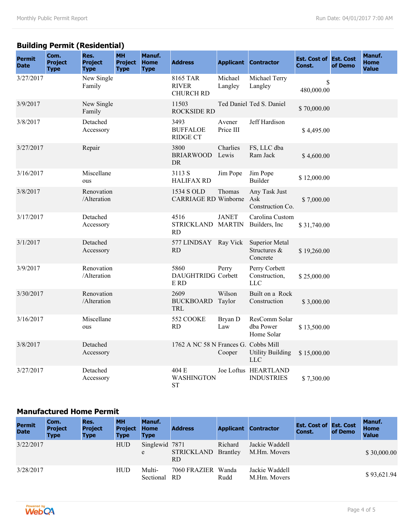# **Building Permit (Residential)**

| <b>Permit</b><br><b>Date</b> | Com.<br><b>Project</b><br><b>Type</b> | Res.<br><b>Project</b><br><b>Type</b> | <b>MH</b><br><b>Project</b><br><b>Type</b> | Manuf.<br><b>Home</b><br><b>Type</b> | <b>Address</b>                               |                     | <b>Applicant Contractor</b>                       | <b>Est. Cost of Est. Cost</b><br>Const. | of Demo | Manuf.<br><b>Home</b><br><b>Value</b> |
|------------------------------|---------------------------------------|---------------------------------------|--------------------------------------------|--------------------------------------|----------------------------------------------|---------------------|---------------------------------------------------|-----------------------------------------|---------|---------------------------------------|
| 3/27/2017                    |                                       | New Single<br>Family                  |                                            |                                      | 8165 TAR<br><b>RIVER</b><br><b>CHURCH RD</b> | Michael<br>Langley  | Michael Terry<br>Langley                          | \$<br>480,000.00                        |         |                                       |
| 3/9/2017                     |                                       | New Single<br>Family                  |                                            |                                      | 11503<br><b>ROCKSIDE RD</b>                  |                     | Ted Daniel Ted S. Daniel                          | \$70,000.00                             |         |                                       |
| 3/8/2017                     |                                       | Detached<br>Accessory                 |                                            |                                      | 3493<br><b>BUFFALOE</b><br><b>RIDGE CT</b>   | Avener<br>Price III | Jeff Hardison                                     | \$4,495.00                              |         |                                       |
| 3/27/2017                    |                                       | Repair                                |                                            |                                      | 3800<br><b>BRIARWOOD</b><br>DR               | Charlies<br>Lewis   | FS, LLC dba<br>Ram Jack                           | \$4,600.00                              |         |                                       |
| 3/16/2017                    |                                       | Miscellane<br>ous                     |                                            |                                      | 3113 S<br><b>HALIFAX RD</b>                  | Jim Pope            | Jim Pope<br><b>Builder</b>                        | \$12,000.00                             |         |                                       |
| 3/8/2017                     |                                       | Renovation<br>/Alteration             |                                            |                                      | 1534 S OLD<br><b>CARRIAGE RD Winborne</b>    | Thomas              | Any Task Just<br>Ask<br>Construction Co.          | \$7,000.00                              |         |                                       |
| 3/17/2017                    |                                       | Detached<br>Accessory                 |                                            |                                      | 4516<br>STRICKLAND MARTIN<br><b>RD</b>       | <b>JANET</b>        | Carolina Custom<br>Builders, Inc.                 | \$31,740.00                             |         |                                       |
| 3/1/2017                     |                                       | Detached<br>Accessory                 |                                            |                                      | 577 LINDSAY Ray Vick<br><b>RD</b>            |                     | <b>Superior Metal</b><br>Structures &<br>Concrete | \$19,260.00                             |         |                                       |
| 3/9/2017                     |                                       | Renovation<br>/Alteration             |                                            |                                      | 5860<br><b>DAUGHTRIDG</b> Corbett<br>E RD    | Perry               | Perry Corbett<br>Construction,<br><b>LLC</b>      | \$25,000.00                             |         |                                       |
| 3/30/2017                    |                                       | Renovation<br>/Alteration             |                                            |                                      | 2609<br><b>BUCKBOARD</b><br><b>TRL</b>       | Wilson<br>Taylor    | Built on a Rock<br>Construction                   | \$3,000.00                              |         |                                       |
| 3/16/2017                    |                                       | Miscellane<br>ous                     |                                            |                                      | 552 COOKE<br><b>RD</b>                       | Bryan D<br>Law      | ResComm Solar<br>dba Power<br>Home Solar          | \$13,500.00                             |         |                                       |
| 3/8/2017                     |                                       | Detached<br>Accessory                 |                                            |                                      | 1762 A NC 58 N Frances G. Cobbs Mill         | Cooper              | <b>Utility Building</b><br><b>LLC</b>             | \$15,000.00                             |         |                                       |
| 3/27/2017                    |                                       | Detached<br>Accessory                 |                                            |                                      | 404 E<br>WASHINGTON<br><b>ST</b>             |                     | Joe Loftus HEARTLAND<br><b>INDUSTRIES</b>         | \$7,300.00                              |         |                                       |

#### **Manufactured Home Permit**

| <b>Permit</b><br><b>Date</b> | Com.<br><b>Project</b><br><b>Type</b> | Res.<br><b>Project</b><br><b>Type</b> | <b>MH</b><br><b>Project</b><br><b>Type</b> | Manuf.<br><b>Home</b><br><b>Type</b> | <b>Address</b>            |         | <b>Applicant Contractor</b>    | <b>Est. Cost of Est. Cost</b><br>Const. | of Demo | Manuf.<br><b>Home</b><br><b>Value</b> |
|------------------------------|---------------------------------------|---------------------------------------|--------------------------------------------|--------------------------------------|---------------------------|---------|--------------------------------|-----------------------------------------|---------|---------------------------------------|
| 3/22/2017                    |                                       |                                       | <b>HUD</b>                                 | Singlewid 7871<br>e                  | STRICKLAND Brantley<br>RD | Richard | Jackie Waddell<br>M.Hm. Movers |                                         |         | \$30,000.00                           |
| 3/28/2017                    |                                       |                                       | <b>HUD</b>                                 | Multi-<br>Sectional                  | 7060 FRAZIER Wanda<br>-RD | Rudd    | Jackie Waddell<br>M.Hm. Movers |                                         |         | \$93,621.94                           |